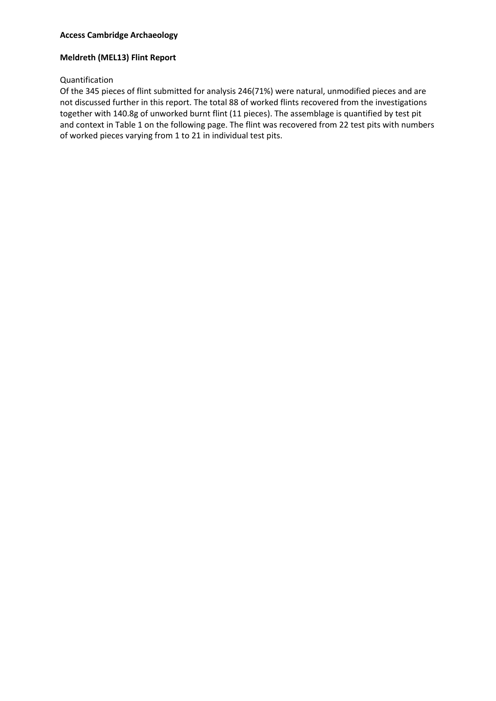## **Access Cambridge Archaeology**

## **Meldreth (MEL13) Flint Report**

### Quantification

Of the 345 pieces of flint submitted for analysis 246(71%) were natural, unmodified pieces and are not discussed further in this report. The total 88 of worked flints recovered from the investigations together with 140.8g of unworked burnt flint (11 pieces). The assemblage is quantified by test pit and context in Table 1 on the following page. The flint was recovered from 22 test pits with numbers of worked pieces varying from 1 to 21 in individual test pits.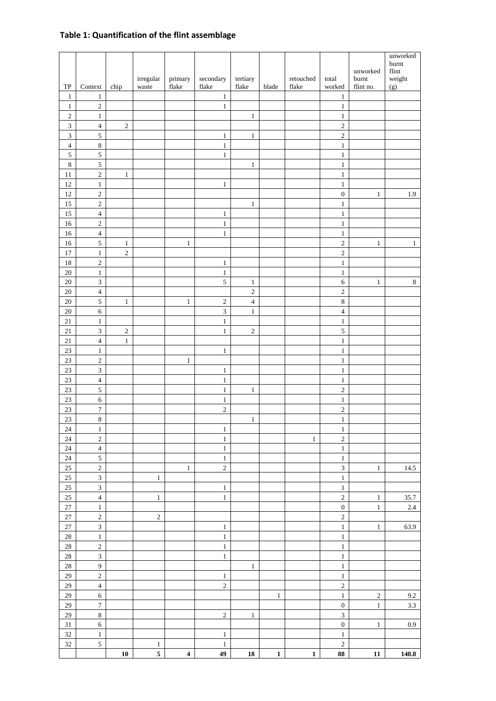# **Table 1: Quantification of the flint assemblage**

|                       |                                |              | irregular               | primary                 | secondary                  | tertiary                       |              | retouched    | total                         | unworked<br>burnt | unworked<br>burnt<br>$\operatorname{flint}$<br>weight |
|-----------------------|--------------------------------|--------------|-------------------------|-------------------------|----------------------------|--------------------------------|--------------|--------------|-------------------------------|-------------------|-------------------------------------------------------|
| ${\rm TP}$<br>$\,1\,$ | Context<br>$\,1\,$             | chip         | waste                   | flake                   | flake<br>$\mathbf{1}$      | ${\rm flake}$                  | blade        | flake        | worked<br>$\mathbf{1}$        | flint no.         | (g)                                                   |
| $\,1\,$               | $\sqrt{2}$                     |              |                         |                         | $\mathbf{1}$               |                                |              |              | $\mathbf 1$                   |                   |                                                       |
| $\sqrt{2}$            | $\,1\,$                        |              |                         |                         |                            | $\,1\,$                        |              |              | $\,1\,$                       |                   |                                                       |
| $\overline{3}$        | $\overline{4}$                 | $\sqrt{2}$   |                         |                         |                            |                                |              |              | $\sqrt{2}$                    |                   |                                                       |
| $\overline{3}$        | 5                              |              |                         |                         | $\mathbf{1}$               | $\,1$                          |              |              | $\sqrt{2}$                    |                   |                                                       |
| $\overline{4}$        | $\,8\,$                        |              |                         |                         | $\,1$                      |                                |              |              | $\,1$                         |                   |                                                       |
| $\sqrt{5}$            | $\sqrt{5}$                     |              |                         |                         | $\,1$                      |                                |              |              | $\,1\,$                       |                   |                                                       |
| $\,8\,$               | $\overline{5}$                 |              |                         |                         |                            | $\,1$                          |              |              | $\,1$                         |                   |                                                       |
| $1\,1$<br>$12\,$      | $\sqrt{2}$<br>$\,1\,$          | $\,1\,$      |                         |                         | $\mathbf{1}$               |                                |              |              | $\mathbf 1$<br>$\,1\,$        |                   |                                                       |
| 12                    | $\sqrt{2}$                     |              |                         |                         |                            |                                |              |              | $\boldsymbol{0}$              | $\mathbf{1}$      | 1.9                                                   |
| 15                    | $\sqrt{2}$                     |              |                         |                         |                            | $\mathbf{1}$                   |              |              | $\mathbf{1}$                  |                   |                                                       |
| 15                    | $\sqrt{4}$                     |              |                         |                         | $\mathbf{1}$               |                                |              |              | $\,1\,$                       |                   |                                                       |
| 16                    | $\sqrt{2}$                     |              |                         |                         | $\mathbf{1}$               |                                |              |              | $\mathbf{1}$                  |                   |                                                       |
| $16\,$                | $\sqrt{4}$                     |              |                         |                         | $\mathbf{1}$               |                                |              |              | $\mathbf{1}$                  |                   |                                                       |
| 16                    | $\sqrt{5}$                     | $\mathbf{1}$ |                         | $\mathbf{1}$            |                            |                                |              |              | $\sqrt{2}$                    | $\mathbf{1}$      | $\mathbf{1}$                                          |
| $17\,$                | $\,1\,$                        | $\sqrt{2}$   |                         |                         |                            |                                |              |              | $\sqrt{2}$                    |                   |                                                       |
| $18\,$                | $\sqrt{2}$                     |              |                         |                         | $\mathbf{1}$               |                                |              |              | $\,1$                         |                   |                                                       |
| $20\,$<br>$20\,$      | $\mathbf{1}$<br>$\overline{3}$ |              |                         |                         | $\,1$<br>5                 |                                |              |              | $\mathbf 1$<br>$\sqrt{6}$     | $\mathbf{1}$      | $\,8\,$                                               |
| $20\,$                | $\overline{4}$                 |              |                         |                         |                            | $\mathbf{1}$<br>$\overline{c}$ |              |              | $\sqrt{2}$                    |                   |                                                       |
| $20\,$                | $\sqrt{5}$                     | $\mathbf{1}$ |                         | $\mathbf{1}$            | $\sqrt{2}$                 | $\overline{4}$                 |              |              | $\,8\,$                       |                   |                                                       |
| $20\,$                | $\sqrt{6}$                     |              |                         |                         | $\overline{3}$             | $\,1\,$                        |              |              | $\overline{4}$                |                   |                                                       |
| $21\,$                | $\,1\,$                        |              |                         |                         | $\,1\,$                    |                                |              |              | $\,1\,$                       |                   |                                                       |
| $21\,$                | $\ensuremath{\mathfrak{Z}}$    | $\sqrt{2}$   |                         |                         | $\mathbf{1}$               | $\sqrt{2}$                     |              |              | $\sqrt{5}$                    |                   |                                                       |
| $21\,$                | $\overline{4}$                 | $\mathbf{1}$ |                         |                         |                            |                                |              |              | $\,1$                         |                   |                                                       |
| $23\,$                | $\mathbf{1}$                   |              |                         |                         | $\mathbf{1}$               |                                |              |              | $\mathbf{1}$                  |                   |                                                       |
| $23\,$                | $\overline{c}$                 |              |                         | $\mathbf{1}$            |                            |                                |              |              | $\mathbf 1$                   |                   |                                                       |
| 23                    | $\overline{3}$<br>$\sqrt{4}$   |              |                         |                         | $\mathbf{1}$<br>$\,1$      |                                |              |              | $\,1\,$<br>$\mathbf{1}$       |                   |                                                       |
| $23\,$<br>$23\,$      | $\sqrt{5}$                     |              |                         |                         | $\,1\,$                    | $\,1\,$                        |              |              | $\sqrt{2}$                    |                   |                                                       |
| $23\,$                | $\sqrt{6}$                     |              |                         |                         | $\,1$                      |                                |              |              | $\,1\,$                       |                   |                                                       |
| $23\,$                | $\boldsymbol{7}$               |              |                         |                         | $\overline{c}$             |                                |              |              | $\sqrt{2}$                    |                   |                                                       |
| 23                    | $\,8\,$                        |              |                         |                         |                            | $\,1\,$                        |              |              | $\,1$                         |                   |                                                       |
| $24\,$                | $\,1\,$                        |              |                         |                         | $\,1$                      |                                |              |              | $\mathbf{1}$                  |                   |                                                       |
| $24\,$                | $\sqrt{2}$                     |              |                         |                         | $\,1$                      |                                |              | $\mathbf{1}$ | $\sqrt{2}$                    |                   |                                                       |
| 24                    | $\overline{4}$                 |              |                         |                         | $\,1$                      |                                |              |              | $\,1\,$                       |                   |                                                       |
| $24\,$                | $\sqrt{5}$                     |              |                         |                         | $\,1$                      |                                |              |              | $\,1$                         |                   |                                                       |
| $25\,$<br>25          | $\sqrt{2}$<br>$\sqrt{3}$       |              |                         | $\mathbf{1}$            | $\sqrt{2}$                 |                                |              |              | $\mathfrak{Z}$<br>$\,1\,$     | $\mathbf{1}$      | 14.5                                                  |
| 25                    | $\overline{3}$                 |              | $\mathbf{1}$            |                         | $\,1$                      |                                |              |              | $\,1$                         |                   |                                                       |
| $25\,$                | $\overline{4}$                 |              | $\mathbf{1}$            |                         | $\,1\,$                    |                                |              |              | $\sqrt{2}$                    | $\mathbf{1}$      | 35.7                                                  |
| $27\,$                | $\,1\,$                        |              |                         |                         |                            |                                |              |              | $\boldsymbol{0}$              | $\,1$             | $2.4\,$                                               |
| $27\,$                | $\sqrt{2}$                     |              | $\sqrt{2}$              |                         |                            |                                |              |              | $\sqrt{2}$                    |                   |                                                       |
| $27\,$                | $\overline{3}$                 |              |                         |                         | $\mathbf{1}$               |                                |              |              | $\,1$                         | $\,1$             | 63.9                                                  |
| $28\,$                | $\,1\,$                        |              |                         |                         | $\,1$                      |                                |              |              | $\,1$                         |                   |                                                       |
| $28\,$                | $\sqrt{2}$                     |              |                         |                         | $\,1\,$                    |                                |              |              | $\,1\,$                       |                   |                                                       |
| $28\,$                | $\overline{3}$                 |              |                         |                         | $\,1$                      |                                |              |              | $\,1\,$                       |                   |                                                       |
| $28\,$<br>$29\,$      | $\overline{9}$<br>$\sqrt{2}$   |              |                         |                         |                            | $\mathbf{1}$                   |              |              | $\,1\,$                       |                   |                                                       |
| $29\,$                | $\overline{4}$                 |              |                         |                         | $\mathbf{1}$<br>$\sqrt{2}$ |                                |              |              | $\mathbf 1$<br>$\overline{c}$ |                   |                                                       |
| 29                    | $\sqrt{6}$                     |              |                         |                         |                            |                                | $\mathbf{1}$ |              | $\,1\,$                       | $\overline{c}$    | 9.2                                                   |
| 29                    | $\boldsymbol{7}$               |              |                         |                         |                            |                                |              |              | $\boldsymbol{0}$              | $\mathbf{1}$      | 3.3                                                   |
| 29                    | $\,8\,$                        |              |                         |                         | $\sqrt{2}$                 | $\,1\,$                        |              |              | $\overline{3}$                |                   |                                                       |
| $31\,$                | $\sqrt{6}$                     |              |                         |                         |                            |                                |              |              | $\boldsymbol{0}$              | $\,1$             | $0.9\,$                                               |
| 32                    | $\,1\,$                        |              |                         |                         | $\mathbf{1}$               |                                |              |              | $\,1\,$                       |                   |                                                       |
| 32                    | $\sqrt{5}$                     |              | $\mathbf{1}$            |                         | $\mathbf{1}$               |                                |              |              | $\sqrt{2}$                    |                   |                                                       |
|                       |                                | ${\bf 10}$   | $\overline{\mathbf{5}}$ | $\overline{\mathbf{4}}$ | 49                         | ${\bf 18}$                     | $\mathbf 1$  | $\mathbf{1}$ | 88                            | ${\bf 11}$        | 140.8                                                 |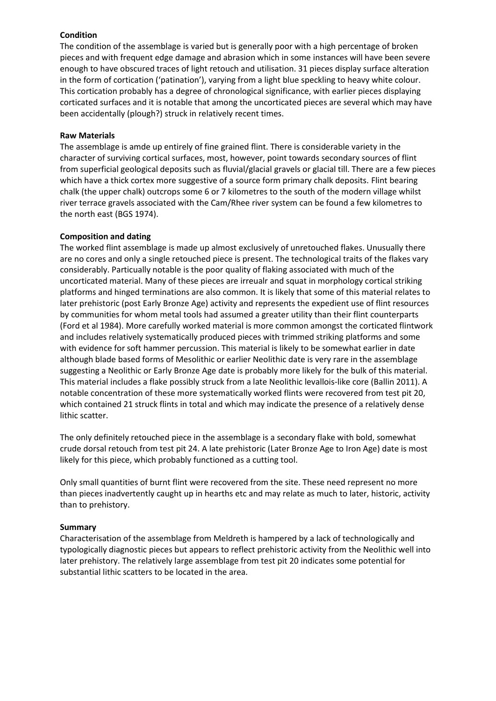# **Condition**

The condition of the assemblage is varied but is generally poor with a high percentage of broken pieces and with frequent edge damage and abrasion which in some instances will have been severe enough to have obscured traces of light retouch and utilisation. 31 pieces display surface alteration in the form of cortication ('patination'), varying from a light blue speckling to heavy white colour. This cortication probably has a degree of chronological significance, with earlier pieces displaying corticated surfaces and it is notable that among the uncorticated pieces are several which may have been accidentally (plough?) struck in relatively recent times.

## **Raw Materials**

The assemblage is amde up entirely of fine grained flint. There is considerable variety in the character of surviving cortical surfaces, most, however, point towards secondary sources of flint from superficial geological deposits such as fluvial/glacial gravels or glacial till. There are a few pieces which have a thick cortex more suggestive of a source form primary chalk deposits. Flint bearing chalk (the upper chalk) outcrops some 6 or 7 kilometres to the south of the modern village whilst river terrace gravels associated with the Cam/Rhee river system can be found a few kilometres to the north east (BGS 1974).

## **Composition and dating**

The worked flint assemblage is made up almost exclusively of unretouched flakes. Unusually there are no cores and only a single retouched piece is present. The technological traits of the flakes vary considerably. Particually notable is the poor quality of flaking associated with much of the uncorticated material. Many of these pieces are irreualr and squat in morphology cortical striking platforms and hinged terminations are also common. It is likely that some of this material relates to later prehistoric (post Early Bronze Age) activity and represents the expedient use of flint resources by communities for whom metal tools had assumed a greater utility than their flint counterparts (Ford et al 1984). More carefully worked material is more common amongst the corticated flintwork and includes relatively systematically produced pieces with trimmed striking platforms and some with evidence for soft hammer percussion. This material is likely to be somewhat earlier in date although blade based forms of Mesolithic or earlier Neolithic date is very rare in the assemblage suggesting a Neolithic or Early Bronze Age date is probably more likely for the bulk of this material. This material includes a flake possibly struck from a late Neolithic levallois-like core (Ballin 2011). A notable concentration of these more systematically worked flints were recovered from test pit 20, which contained 21 struck flints in total and which may indicate the presence of a relatively dense lithic scatter.

The only definitely retouched piece in the assemblage is a secondary flake with bold, somewhat crude dorsal retouch from test pit 24. A late prehistoric (Later Bronze Age to Iron Age) date is most likely for this piece, which probably functioned as a cutting tool.

Only small quantities of burnt flint were recovered from the site. These need represent no more than pieces inadvertently caught up in hearths etc and may relate as much to later, historic, activity than to prehistory.

## **Summary**

Characterisation of the assemblage from Meldreth is hampered by a lack of technologically and typologically diagnostic pieces but appears to reflect prehistoric activity from the Neolithic well into later prehistory. The relatively large assemblage from test pit 20 indicates some potential for substantial lithic scatters to be located in the area.